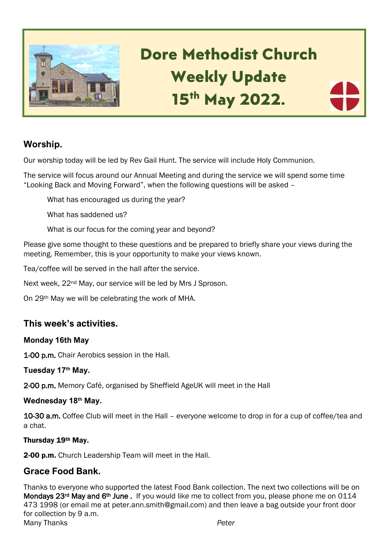

# **Dore Methodist Church Weekly Update 15th May 2022.**

## **Worship.**

Our worship today will be led by Rev Gail Hunt. The service will include Holy Communion.

The service will focus around our Annual Meeting and during the service we will spend some time "Looking Back and Moving Forward", when the following questions will be asked –

What has encouraged us during the year?

What has saddened us?

What is our focus for the coming year and beyond?

Please give some thought to these questions and be prepared to briefly share your views during the meeting. Remember, this is your opportunity to make your views known.

Tea/coffee will be served in the hall after the service.

Next week, 22<sup>nd</sup> May, our service will be led by Mrs J Sproson.

On 29th May we will be celebrating the work of MHA.

## **This week's activities.**

#### **Monday 16th May**

1-00 p.m. Chair Aerobics session in the Hall.

#### **Tuesday 17th May.**

2-00 p.m. Memory Café, organised by Sheffield AgeUK will meet in the Hall

#### **Wednesday 18 th May.**

10-30 a.m. Coffee Club will meet in the Hall – everyone welcome to drop in for a cup of coffee/tea and a chat.

#### Thursday 19th May.

2-00 p.m. Church Leadership Team will meet in the Hall.

## **Grace Food Bank.**

Thanks to everyone who supported the latest Food Bank collection. The next two collections will be on Mondays 23<sup>rd</sup> May and 6<sup>th</sup> June . If you would like me to collect from you, please phone me on 0114 473 1998 (or email me at peter.ann.smith@gmail.com) and then leave a bag outside your front door for collection by 9 a.m. Many Thanks *Peter*